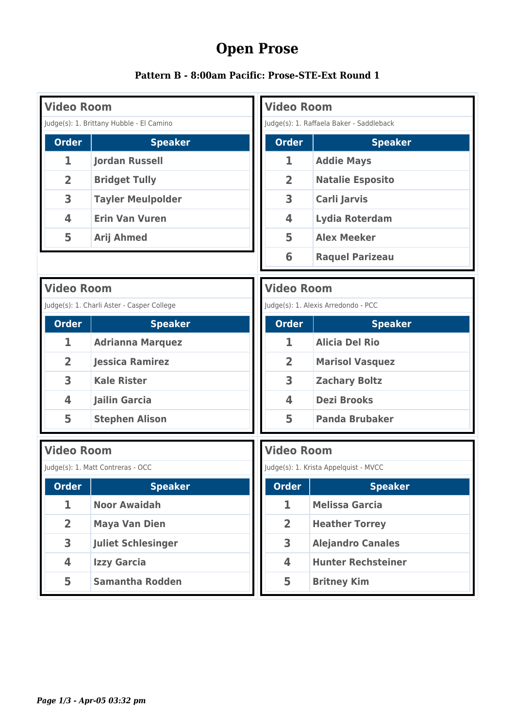## **Open Prose**

| Pattern B - 8:00am Pacific: Prose-STE-Ext Round 1 |  |  |  |  |  |  |  |  |
|---------------------------------------------------|--|--|--|--|--|--|--|--|
|---------------------------------------------------|--|--|--|--|--|--|--|--|

| <b>Video Room</b> |                                            | <b>Video Room</b>       |                                          |
|-------------------|--------------------------------------------|-------------------------|------------------------------------------|
|                   | Judge(s): 1. Brittany Hubble - El Camino   |                         | Judge(s): 1. Raffaela Baker - Saddleback |
| <b>Order</b>      | <b>Speaker</b>                             | <b>Order</b>            | <b>Speaker</b>                           |
| 1                 | <b>Jordan Russell</b>                      | 1                       | <b>Addie Mays</b>                        |
| $\overline{2}$    | <b>Bridget Tully</b>                       | $\overline{2}$          | <b>Natalie Esposito</b>                  |
| 3                 | <b>Tayler Meulpolder</b>                   | 3                       | Carli Jarvis                             |
| 4                 | <b>Erin Van Vuren</b>                      | 4                       | <b>Lydia Roterdam</b>                    |
| 5                 | <b>Arij Ahmed</b>                          | 5                       | <b>Alex Meeker</b>                       |
|                   |                                            | 6                       | <b>Raquel Parizeau</b>                   |
| <b>Video Room</b> |                                            | <b>Video Room</b>       |                                          |
|                   | Judge(s): 1. Charli Aster - Casper College |                         | Judge(s): 1. Alexis Arredondo - PCC      |
| <b>Order</b>      | <b>Speaker</b>                             | <b>Order</b>            | <b>Speaker</b>                           |
| 1                 | <b>Adrianna Marquez</b>                    | 1                       | <b>Alicia Del Rio</b>                    |
| $\overline{2}$    | <b>Jessica Ramirez</b>                     | $\overline{2}$          | <b>Marisol Vasquez</b>                   |
| 3                 | <b>Kale Rister</b>                         | 3                       | <b>Zachary Boltz</b>                     |
| 4                 | <b>Jailin Garcia</b>                       | $\overline{\mathbf{A}}$ | <b>Dezi Brooks</b>                       |
| 5                 | <b>Stephen Alison</b>                      | 5                       | <b>Panda Brubaker</b>                    |
| <b>Video Room</b> |                                            | <b>Video Room</b>       |                                          |
|                   | Judge(s): 1. Matt Contreras - OCC          |                         | Judge(s): 1. Krista Appelquist - MVCC    |
| <b>Order</b>      | <b>Speaker</b>                             | <b>Order</b>            | <b>Speaker</b>                           |
| 1                 | <b>Noor Awaidah</b>                        | 1                       | <b>Melissa Garcia</b>                    |
| $\overline{2}$    | <b>Maya Van Dien</b>                       | $\overline{2}$          | <b>Heather Torrey</b>                    |
| 3                 | <b>Juliet Schlesinger</b>                  | 3                       | <b>Alejandro Canales</b>                 |
| 4                 | <b>Izzy Garcia</b>                         | 4                       | <b>Hunter Rechsteiner</b>                |
| 5                 | <b>Samantha Rodden</b>                     | 5                       | <b>Britney Kim</b>                       |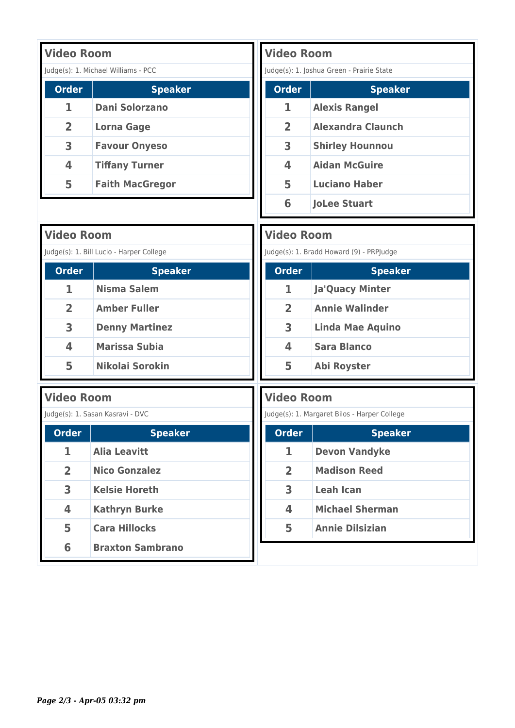| <b>Video Room</b> |                                     |
|-------------------|-------------------------------------|
|                   | Judge(s): 1. Michael Williams - PCC |
| <b>Order</b>      | <b>Speaker</b>                      |
| 1                 | <b>Dani Solorzano</b>               |
| $\overline{2}$    | Lorna Gage                          |
| 3                 | <b>Favour Onyeso</b>                |
| 4                 | <b>Tiffany Turner</b>               |
| 5                 | <b>Faith MacGregor</b>              |

| <b>Video Room</b> |                                           |
|-------------------|-------------------------------------------|
|                   | Judge(s): 1. Joshua Green - Prairie State |
| <b>Order</b>      | <b>Speaker</b>                            |
| 1                 | <b>Alexis Rangel</b>                      |
| $\overline{2}$    | <b>Alexandra Claunch</b>                  |
| 3                 | <b>Shirley Hounnou</b>                    |
| 4                 | <b>Aidan McGuire</b>                      |
| 5                 | <b>Luciano Haber</b>                      |
| 6                 | <b>JoLee Stuart</b>                       |

| <b>Video Room</b> |                                          | <b>Video Room</b> |                                              |
|-------------------|------------------------------------------|-------------------|----------------------------------------------|
|                   | Judge(s): 1. Bill Lucio - Harper College |                   | Judge(s): 1. Bradd Howard (9) - PRPJudge     |
| <b>Order</b>      | <b>Speaker</b>                           | <b>Order</b>      | <b>Speaker</b>                               |
| 1                 | <b>Nisma Salem</b>                       | 1                 | <b>Ja'Quacy Minter</b>                       |
| $\overline{2}$    | <b>Amber Fuller</b>                      | $\overline{2}$    | <b>Annie Walinder</b>                        |
| 3                 | <b>Denny Martinez</b>                    | 3                 | <b>Linda Mae Aquino</b>                      |
| 4                 | <b>Marissa Subia</b>                     | 4                 | <b>Sara Blanco</b>                           |
| 5                 | Nikolai Sorokin                          | 5                 | <b>Abi Royster</b>                           |
|                   |                                          |                   |                                              |
| <b>Video Room</b> |                                          | <b>Video Room</b> |                                              |
|                   | Judge(s): 1. Sasan Kasravi - DVC         |                   | Judge(s): 1. Margaret Bilos - Harper College |
| <b>Order</b>      | <b>Speaker</b>                           | <b>Order</b>      | <b>Speaker</b>                               |
| 1                 | <b>Alia Leavitt</b>                      | 1                 | <b>Devon Vandyke</b>                         |
| $\overline{2}$    | <b>Nico Gonzalez</b>                     | $\overline{2}$    | <b>Madison Reed</b>                          |
| 3                 | <b>Kelsie Horeth</b>                     | 3                 | <b>Leah Ican</b>                             |
| 4                 | <b>Kathryn Burke</b>                     | 4                 | <b>Michael Sherman</b>                       |
| 5                 | <b>Cara Hillocks</b>                     | 5                 | <b>Annie Dilsizian</b>                       |
| 6                 | <b>Braxton Sambrano</b>                  |                   |                                              |